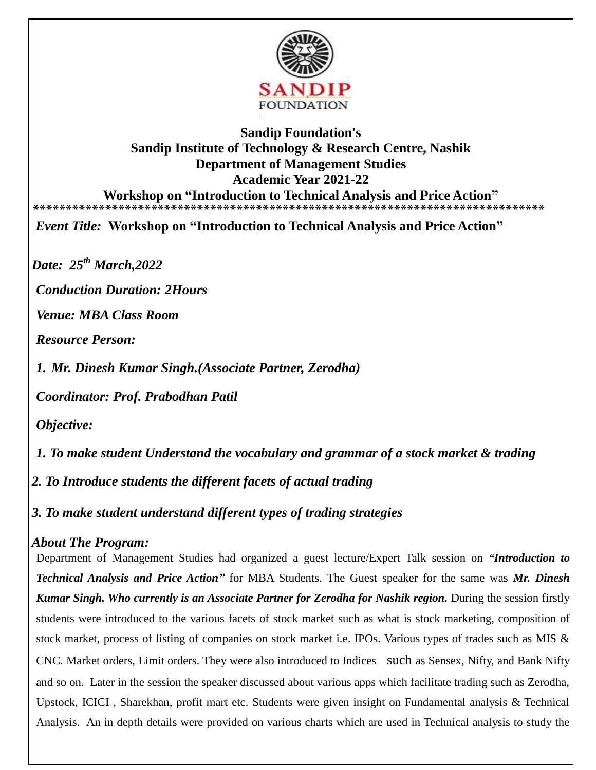

## **Sandip Foundation's Sandip Institute of Technology & Research Centre, Nashik Department of Management Studies Academic Year 2021-22 Workshop on "Introduction to Technical Analysis and Price Action" \*\*\*\*\*\*\*\*\*\*\*\*\*\*\*\*\*\*\*\*\*\*\*\*\*\*\*\*\*\*\*\*\*\*\*\*\*\*\*\*\*\*\*\*\*\*\*\*\*\*\*\*\*\*\*\*\*\*\*\*\*\*\*\*\*\*\*\*\*\*\*\*\*\*\*\*\*\***

*Event Title:* **Workshop on "Introduction to Technical Analysis and Price Action"** 

*Date: 25th March,2022*

*Conduction Duration: 2Hours* 

*Venue: MBA Class Room* 

*Resource Person:* 

*1. Mr. Dinesh Kumar Singh.(Associate Partner, Zerodha)*

*Coordinator: Prof. Prabodhan Patil* 

*Objective:*

*1. To make student Understand the vocabulary and grammar of a stock market & trading* 

*2. To Introduce students the different facets of actual trading*

*3. To make student understand different types of trading strategies*

## *About The Program:*

Department of Management Studies had organized a guest lecture/Expert Talk session on *"Introduction to Technical Analysis and Price Action"* for MBA Students. The Guest speaker for the same was *Mr. Dinesh Kumar Singh. Who currently is an Associate Partner for Zerodha for Nashik region.* During the session firstly students were introduced to the various facets of stock market such as what is stock marketing, composition of stock market, process of listing of companies on stock market i.e. IPOs. Various types of trades such as MIS & CNC. Market orders, Limit orders. They were also introduced to Indices such as Sensex, Nifty, and Bank Nifty and so on. Later in the session the speaker discussed about various apps which facilitate trading such as Zerodha, Upstock, ICICI , Sharekhan, profit mart etc. Students were given insight on Fundamental analysis & Technical Analysis. An in depth details were provided on various charts which are used in Technical analysis to study the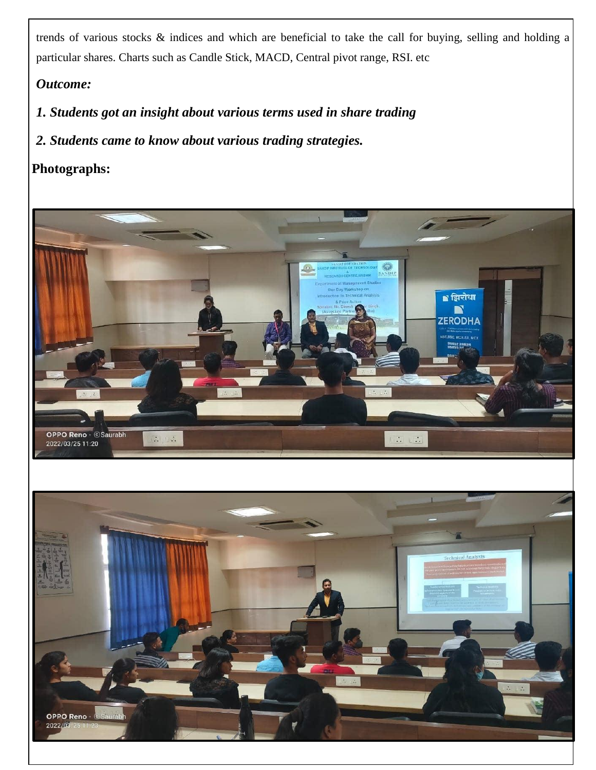trends of various stocks & indices and which are beneficial to take the call for buying, selling and holding a particular shares. Charts such as Candle Stick, MACD, Central pivot range, RSI. etc

## *Outcome:*

- *1. Students got an insight about various terms used in share trading*
- *2. Students came to know about various trading strategies.*

## **Photographs:**